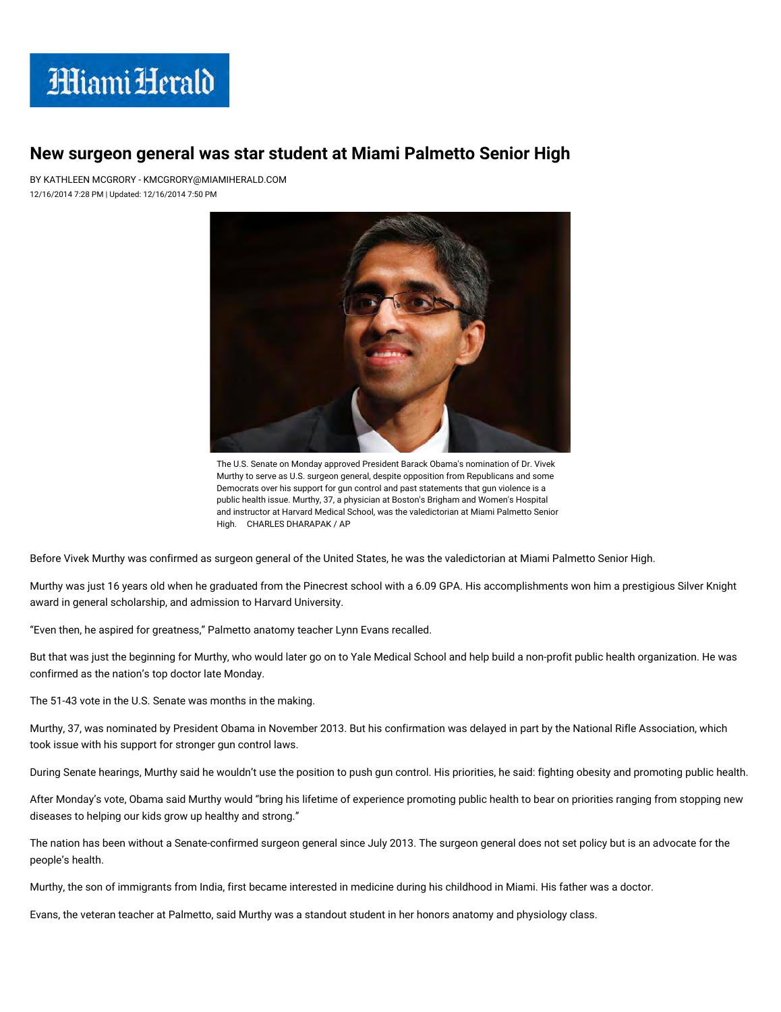

## New surgeon general was star student at Miami Palmetto Senior High

BY KATHLEEN MCGRORY - KMCGRORY@MIAMIHERALD.COM 12/16/2014 7:28 PM | Updated: 12/16/2014 7:50 PM



The U.S. Senate on Monday approved President Barack Obama's nomination of Dr. Vivek Murthy to serve as U.S. surgeon general, despite opposition from Republicans and some Democrats over his support for gun control and past statements that gun violence is a public health issue. Murthy, 37, a physician at Boston's Brigham and Women's Hospital and instructor at Harvard Medical School, was the valedictorian at Miami Palmetto Senior High. CHARLES DHARAPAK / AP

Before Vivek Murthy was confirmed as surgeon general of the United States, he was the valedictorian at Miami Palmetto Senior High.

Murthy was just 16 years old when he graduated from the Pinecrest school with a 6.09 GPA. His accomplishments won him a prestigious Silver Knight award in general scholarship, and admission to Harvard University.

"Even then, he aspired for greatness," Palmetto anatomy teacher Lynn Evans recalled.

But that was just the beginning for Murthy, who would later go on to Yale Medical School and help build a non-profit public health organization. He was confirmed as the nation's top doctor late Monday.

The 51-43 vote in the U.S. Senate was months in the making.

Murthy, 37, was nominated by President Obama in November 2013. But his confirmation was delayed in part by the National Rifle Association, which took issue with his support for stronger gun control laws.

During Senate hearings, Murthy said he wouldn't use the position to push gun control. His priorities, he said: fighting obesity and promoting public health.

After Monday's vote, Obama said Murthy would "bring his lifetime of experience promoting public health to bear on priorities ranging from stopping new diseases to helping our kids grow up healthy and strong."

The nation has been without a Senate-confirmed surgeon general since July 2013. The surgeon general does not set policy but is an advocate for the people's health.

Murthy, the son of immigrants from India, first became interested in medicine during his childhood in Miami. His father was a doctor.

Evans, the veteran teacher at Palmetto, said Murthy was a standout student in her honors anatomy and physiology class.